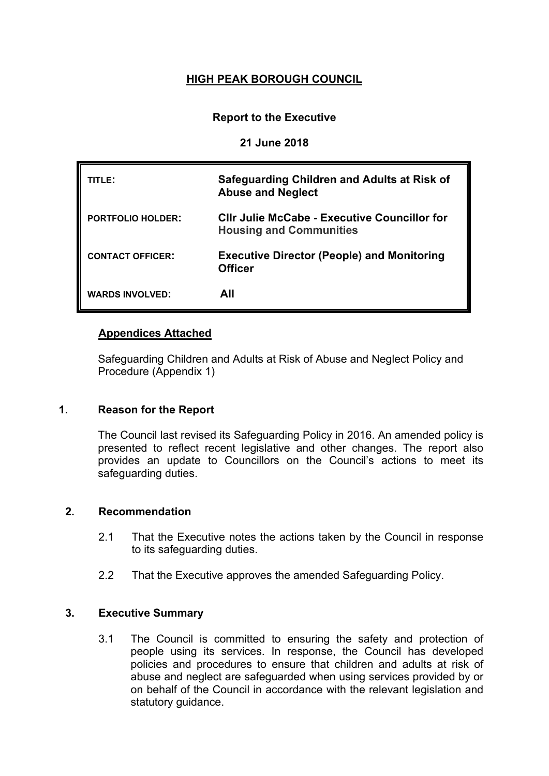# **HIGH PEAK BOROUGH COUNCIL**

# **Report to the Executive**

## **21 June 2018**

| TITLE:                   | Safeguarding Children and Adults at Risk of<br><b>Abuse and Neglect</b>               |
|--------------------------|---------------------------------------------------------------------------------------|
| <b>PORTFOLIO HOLDER:</b> | <b>CIIr Julie McCabe - Executive Councillor for</b><br><b>Housing and Communities</b> |
| <b>CONTACT OFFICER:</b>  | <b>Executive Director (People) and Monitoring</b><br><b>Officer</b>                   |
| <b>WARDS INVOLVED:</b>   | All                                                                                   |

## **Appendices Attached**

Safeguarding Children and Adults at Risk of Abuse and Neglect Policy and Procedure (Appendix 1)

# **1. Reason for the Report**

The Council last revised its Safeguarding Policy in 2016. An amended policy is presented to reflect recent legislative and other changes. The report also provides an update to Councillors on the Council's actions to meet its safeguarding duties.

#### **2. Recommendation**

- 2.1 That the Executive notes the actions taken by the Council in response to its safeguarding duties.
- 2.2 That the Executive approves the amended Safeguarding Policy.

## **3. Executive Summary**

3.1 The Council is committed to ensuring the safety and protection of people using its services. In response, the Council has developed policies and procedures to ensure that children and adults at risk of abuse and neglect are safeguarded when using services provided by or on behalf of the Council in accordance with the relevant legislation and statutory guidance.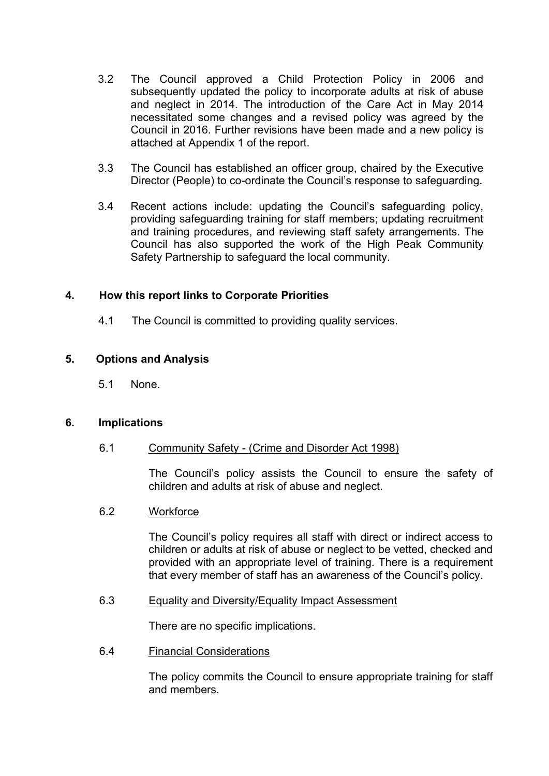- 3.2 The Council approved a Child Protection Policy in 2006 and subsequently updated the policy to incorporate adults at risk of abuse and neglect in 2014. The introduction of the Care Act in May 2014 necessitated some changes and a revised policy was agreed by the Council in 2016. Further revisions have been made and a new policy is attached at Appendix 1 of the report.
- 3.3 The Council has established an officer group, chaired by the Executive Director (People) to co-ordinate the Council's response to safeguarding.
- 3.4 Recent actions include: updating the Council's safeguarding policy, providing safeguarding training for staff members; updating recruitment and training procedures, and reviewing staff safety arrangements. The Council has also supported the work of the High Peak Community Safety Partnership to safeguard the local community.

#### **4. How this report links to Corporate Priorities**

4.1 The Council is committed to providing quality services.

## **5. Options and Analysis**

5.1 None.

#### **6. Implications**

6.1 Community Safety - (Crime and Disorder Act 1998)

The Council's policy assists the Council to ensure the safety of children and adults at risk of abuse and neglect.

#### 6.2 Workforce

The Council's policy requires all staff with direct or indirect access to children or adults at risk of abuse or neglect to be vetted, checked and provided with an appropriate level of training. There is a requirement that every member of staff has an awareness of the Council's policy.

#### 6.3 Equality and Diversity/Equality Impact Assessment

There are no specific implications.

6.4 Financial Considerations

The policy commits the Council to ensure appropriate training for staff and members.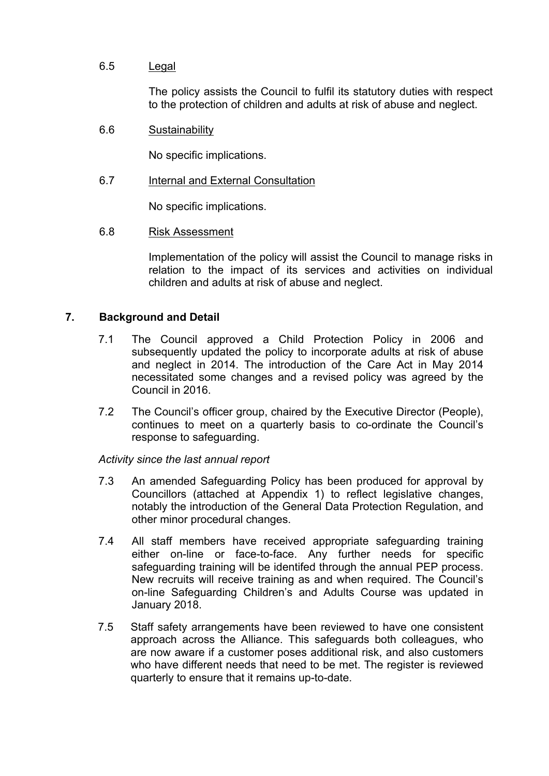# 6.5 Legal

The policy assists the Council to fulfil its statutory duties with respect to the protection of children and adults at risk of abuse and neglect.

## 6.6 Sustainability

No specific implications.

## 6.7 Internal and External Consultation

No specific implications.

#### 6.8 Risk Assessment

Implementation of the policy will assist the Council to manage risks in relation to the impact of its services and activities on individual children and adults at risk of abuse and neglect.

## **7. Background and Detail**

- 7.1 The Council approved a Child Protection Policy in 2006 and subsequently updated the policy to incorporate adults at risk of abuse and neglect in 2014. The introduction of the Care Act in May 2014 necessitated some changes and a revised policy was agreed by the Council in 2016.
- 7.2 The Council's officer group, chaired by the Executive Director (People), continues to meet on a quarterly basis to co-ordinate the Council's response to safeguarding.

*Activity since the last annual report*

- 7.3 An amended Safeguarding Policy has been produced for approval by Councillors (attached at Appendix 1) to reflect legislative changes, notably the introduction of the General Data Protection Regulation, and other minor procedural changes.
- 7.4 All staff members have received appropriate safeguarding training either on-line or face-to-face. Any further needs for specific safeguarding training will be identifed through the annual PEP process. New recruits will receive training as and when required. The Council's on-line Safeguarding Children's and Adults Course was updated in January 2018.
- 7.5 Staff safety arrangements have been reviewed to have one consistent approach across the Alliance. This safeguards both colleagues, who are now aware if a customer poses additional risk, and also customers who have different needs that need to be met. The register is reviewed quarterly to ensure that it remains up-to-date.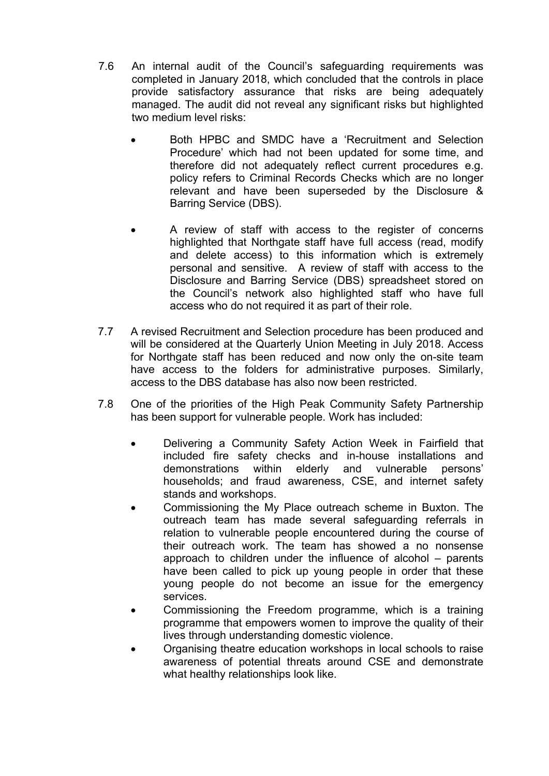- 7.6 An internal audit of the Council's safeguarding requirements was completed in January 2018, which concluded that the controls in place provide satisfactory assurance that risks are being adequately managed. The audit did not reveal any significant risks but highlighted two medium level risks:
	- Both HPBC and SMDC have a 'Recruitment and Selection Procedure' which had not been updated for some time, and therefore did not adequately reflect current procedures e.g. policy refers to Criminal Records Checks which are no longer relevant and have been superseded by the Disclosure & Barring Service (DBS).
	- A review of staff with access to the register of concerns highlighted that Northgate staff have full access (read, modify and delete access) to this information which is extremely personal and sensitive. A review of staff with access to the Disclosure and Barring Service (DBS) spreadsheet stored on the Council's network also highlighted staff who have full access who do not required it as part of their role.
- 7.7 A revised Recruitment and Selection procedure has been produced and will be considered at the Quarterly Union Meeting in July 2018. Access for Northgate staff has been reduced and now only the on-site team have access to the folders for administrative purposes. Similarly, access to the DBS database has also now been restricted.
- 7.8 One of the priorities of the High Peak Community Safety Partnership has been support for vulnerable people. Work has included:
	- Delivering a Community Safety Action Week in Fairfield that included fire safety checks and in-house installations and demonstrations within elderly and vulnerable persons' households; and fraud awareness, CSE, and internet safety stands and workshops.
	- Commissioning the My Place outreach scheme in Buxton. The outreach team has made several safeguarding referrals in relation to vulnerable people encountered during the course of their outreach work. The team has showed a no nonsense approach to children under the influence of alcohol – parents have been called to pick up young people in order that these young people do not become an issue for the emergency services.
	- Commissioning the Freedom programme, which is a training programme that empowers women to improve the quality of their lives through understanding domestic violence.
	- Organising theatre education workshops in local schools to raise awareness of potential threats around CSE and demonstrate what healthy relationships look like.